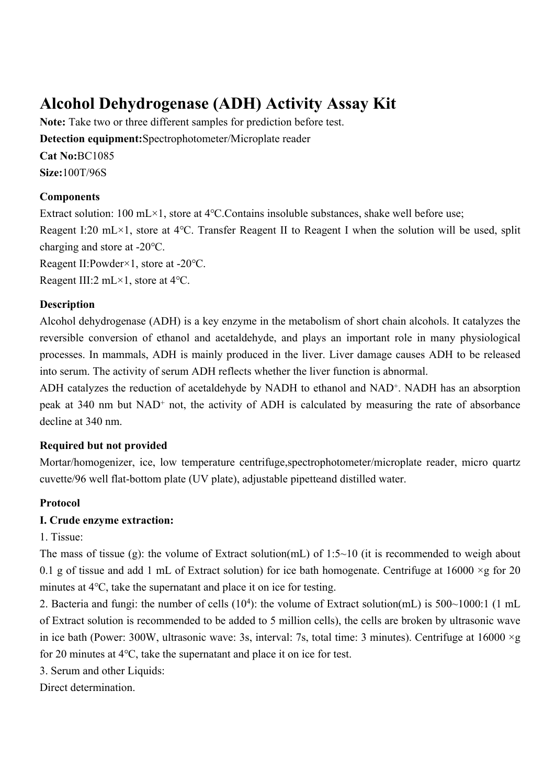# **Alcohol Dehydrogenase (ADH) Activity Assay Kit**

**Note:** Take two or three different samples for prediction before test. **Detection equipment:**Spectrophotometer/Microplate reader **Cat No:**BC1085 **Size:**100T/96S

#### **Components**

Extract solution: 100 mL×1, store at 4℃.Contains insoluble substances, shake well before use; Reagent I:20 mL×1, store at 4℃. Transfer Reagent II to Reagent I when the solution will be used, split charging and store at -20℃. Reagent II:Powder×1, store at -20℃.

Reagent III:2 mL×1, store at 4℃.

#### **Description**

Alcohol dehydrogenase (ADH) is a key enzyme in the metabolism of short chain alcohols. It catalyzes the reversible conversion of ethanol and acetaldehyde, and plays an important role in many physiological processes. In mammals, ADH is mainly produced in the liver. Liver damage causes ADH to be released into serum. The activity of serum ADH reflects whether the liver function is abnormal.

ADH catalyzes the reduction of acetaldehyde by NADH to ethanol and NAD<sup>+</sup>. NADH has an absorption peak at 340 nm but NAD<sup>+</sup> not, the activity of ADH is calculated by measuring the rate of absorbance decline at 340 nm.

#### **Required but not provided**

Mortar/homogenizer, ice, low temperature centrifuge,spectrophotometer/microplate reader, micro quartz cuvette/96 well flat-bottom plate (UV plate), adjustable pipetteand distilled water.

#### **Protocol**

#### **I. Crude enzyme extraction:**

#### 1. Tissue:

The mass of tissue (g): the volume of Extract solution(mL) of  $1:5~10$  (it is recommended to weigh about 0.1 g of tissue and add 1 mL of Extract solution) for ice bath homogenate. Centrifuge at  $16000 \times g$  for 20 minutes at 4℃, take the supernatant and place it on ice for testing.

2. Bacteria and fungi: the number of cells (10<sup>4</sup>): the volume of Extract solution(mL) is 500~1000:1 (1 mL of Extract solution is recommended to be added to 5 million cells), the cells are broken by ultrasonic wave in ice bath (Power: 300W, ultrasonic wave: 3s, interval: 7s, total time: 3 minutes). Centrifuge at  $16000 \times g$ for 20 minutes at 4℃, take the supernatant and place it on ice for test.

3. Serum and other Liquids:

Direct determination.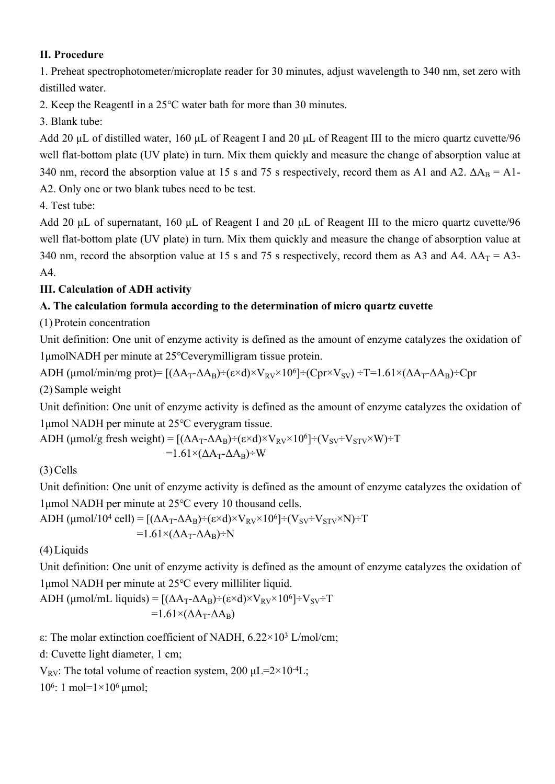#### **II. Procedure**

1. Preheat spectrophotometer/microplate reader for 30 minutes, adjust wavelength to 340 nm, set zero with distilled water.

2. Keep the ReagentI in a 25℃ water bath for more than 30 minutes.

3. Blank tube:

Add 20 μL of distilled water, 160 μL of Reagent I and 20 μL of Reagent III to the micro quartz cuvette/96 well flat-bottom plate (UV plate) in turn. Mix them quickly and measure the change of absorption value at 340 nm, record the absorption value at 15 s and 75 s respectively, record them as A1 and A2.  $\Delta A_B = A1$ -A2. Only one or two blank tubes need to be test.

4. Test tube:

Add 20 μL of supernatant, 160 μL of Reagent I and 20 μL of Reagent III to the micro quartz cuvette/96 well flat-bottom plate (UV plate) in turn. Mix them quickly and measure the change of absorption value at 340 nm, record the absorption value at 15 s and 75 s respectively, record them as A3 and A4.  $\Delta A_T = A3$ -A4.

## **III. Calculation of ADH activity**

## **A. The calculation formula according to the determination of micro quartz cuvette**

(1) Protein concentration

Unit definition: One unit of enzyme activity is defined as the amount of enzyme catalyzes the oxidation of 1μmolNADH per minute at 25℃everymilligram tissue protein.

ADH (µmol/min/mg prot)=  $[(\Delta A_T - \Delta A_B) \div (\varepsilon \times d) \times V_{RV} \times 10^6] \div (Cpr \times V_{SV}) \div T = 1.61 \times (\Delta A_T - \Delta A_B) \div Cpr$ (2) Sample weight

Unit definition: One unit of enzyme activity is defined as the amount of enzyme catalyzes the oxidation of 1μmol NADH per minute at 25℃ everygram tissue.

ADH ( $\mu$ mol/g fresh weight) = [( $\Delta A_T$ - $\Delta A_B$ )÷(ε×d)×V<sub>RV</sub>×10<sup>6</sup>]÷(V<sub>SV</sub>÷V<sub>STV</sub>×W)÷T  $=1.61\times(\Delta A_T-\Delta A_B)+W$ 

(3) Cells

Unit definition: One unit of enzyme activity is defined as the amount of enzyme catalyzes the oxidation of 1μmol NADH per minute at 25℃ every 10 thousand cells.

$$
ADH (µmol/104 cell) = [(\Delta A_T - \Delta A_B) \div (\epsilon \times d) \times V_{RV} \times 106] \div (V_{SV} \div V_{STV} \times N) \div T
$$
  
=1.61×(\Delta A\_T - \Delta A\_B) \div N

(4) Liquids

Unit definition: One unit of enzyme activity is defined as the amount of enzyme catalyzes the oxidation of 1μmol NADH per minute at 25℃ every milliliter liquid.

ADH ( $\mu$ mol/mL liquids) = [( $\Delta A_T - \Delta A_B$ )÷( $\varepsilon \times d$ )×V<sub>RV</sub>×10<sup>6</sup>]÷V<sub>SV</sub>÷T  $=1.61\times(\Delta A_T - \Delta A_B)$ 

ε: The molar extinction coefficient of NADH, 6.22×10<sup>3</sup> L/mol/cm;

d: Cuvette light diameter, 1 cm;

V<sub>RV</sub>: The total volume of reaction system, 200  $\mu$ L=2×10<sup>-4</sup>L;

10<sup>6</sup>: 1 mol=1×10<sup>6</sup> μmol;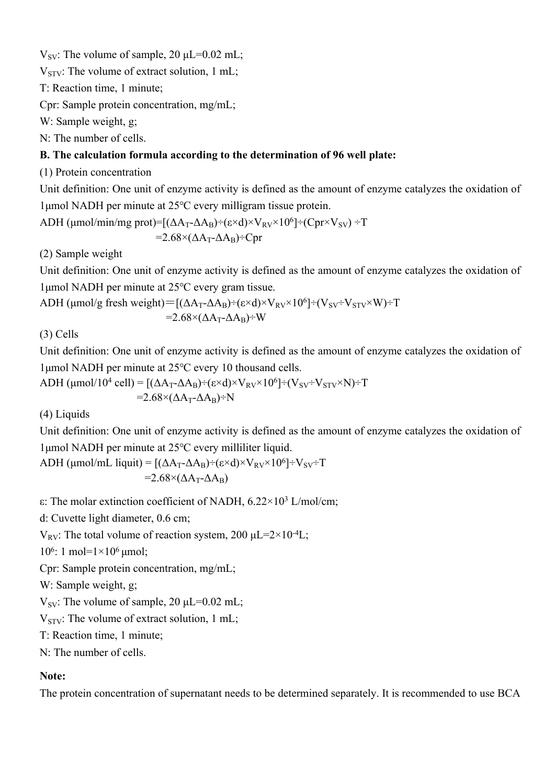$V_{SV}$ : The volume of sample, 20  $\mu$ L=0.02 mL;

 $V_{STV}$ : The volume of extract solution, 1 mL;

T: Reaction time, 1 minute;

Cpr: Sample protein concentration, mg/mL;

W: Sample weight, g;

N: The number of cells.

### **B. The calculation formula according to the determination of 96 well plate:**

(1) Protein concentration

Unit definition: One unit of enzyme activity is defined as the amount of enzyme catalyzes the oxidation of 1μmol NADH per minute at 25℃ every milligram tissue protein.

ADH ( $\mu$ mol/min/mg prot)=[( $\Delta A_T - \Delta A_B$ )÷(ε×d)×V<sub>RV</sub>×10<sup>6</sup>]÷(Cpr×V<sub>SV</sub>)÷T  $=2.68\times(\Delta A_T-\Delta A_B)+Cpr$ 

(2) Sample weight

Unit definition: One unit of enzyme activity is defined as the amount of enzyme catalyzes the oxidation of 1μmol NADH per minute at 25℃ every gram tissue.

ADH ( $\mu$ mol/g fresh weight)=[( $\Delta A_T$ - $\Delta A_B$ )÷(ε×d)×V<sub>RV</sub>×10<sup>6</sup>]÷(V<sub>SV</sub>÷V<sub>STV</sub>×W)÷T  $=2.68\times(\Delta A_T - \Delta A_B)+W$ 

(3) Cells

Unit definition: One unit of enzyme activity is defined as the amount of enzyme catalyzes the oxidation of 1μmol NADH per minute at 25℃ every 10 thousand cells.

ADH (µmol/10<sup>4</sup> cell) = [(
$$
\Delta A_T - \Delta A_B
$$
)+( $\varepsilon \times d$ )× $V_{RV} \times 10^6$ ] ÷ ( $V_{SV} \div V_{STV} \times N$ ) ÷ T  
=2.68×( $\Delta A_T - \Delta A_B$ ) ÷ N

(4) Liquids

Unit definition: One unit of enzyme activity is defined as the amount of enzyme catalyzes the oxidation of 1μmol NADH per minute at 25℃ every milliliter liquid.

ADH ( $\mu$ mol/mL liquit) = [( $\Delta A_T - \Delta A_B$ )÷(ε×d)×V<sub>RV</sub>×10<sup>6</sup>]÷V<sub>SV</sub>÷T  $=2.68\times(\Delta A_T - \Delta A_B)$ 

ε: The molar extinction coefficient of NADH, 6.22×10<sup>3</sup> L/mol/cm;

d: Cuvette light diameter, 0.6 cm;

V<sub>RV</sub>: The total volume of reaction system, 200  $\mu$ L=2×10<sup>-4</sup>L;

10<sup>6</sup>: 1 mol=1×10<sup>6</sup> μmol;

Cpr: Sample protein concentration, mg/mL;

W: Sample weight, g;

 $V_{SV}$ : The volume of sample, 20  $\mu$ L=0.02 mL;

 $V_{STV}$ : The volume of extract solution, 1 mL;

T: Reaction time, 1 minute;

N: The number of cells.

#### **Note:**

The protein concentration of supernatant needs to be determined separately. It is recommended to use BCA